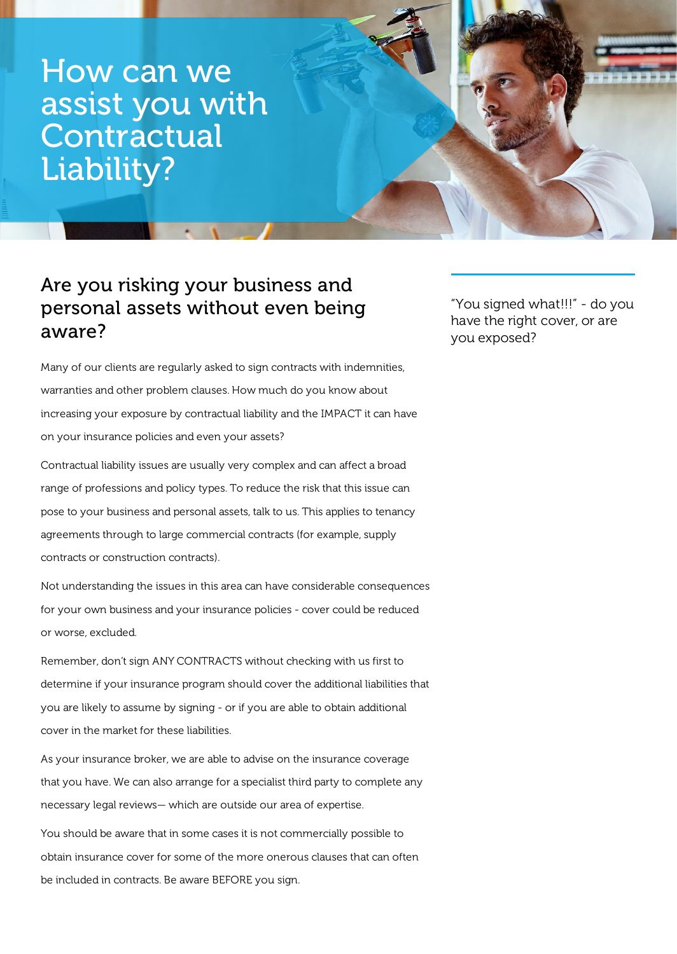How can we assist you with **Contractual** Liability?

## Are you risking your business and personal assets without even being aware?

"You signed what!!!" - do you have the right cover, or are you exposed?

Many of our clients are regularly asked to sign contracts with indemnities, warranties and other problem clauses. How much do you know about increasing your exposure by contractual liability and the IMPACT it can have on your insurance policies and even your assets?

Contractual liability issues are usually very complex and can affect a broad range of professions and policy types. To reduce the risk that this issue can pose to your business and personal assets, talk to us. This applies to tenancy agreements through to large commercial contracts (for example, supply contracts or construction contracts).

Not understanding the issues in this area can have considerable consequences for your own business and your insurance policies - cover could be reduced or worse, excluded.

Remember, don't sign ANY CONTRACTS without checking with us first to determine if your insurance program should cover the additional liabilities that you are likely to assume by signing - or if you are able to obtain additional cover in the market for these liabilities.

As your insurance broker, we are able to advise on the insurance coverage that you have. We can also arrange for a specialist third party to complete any necessary legal reviews— which are outside our area of expertise.

You should be aware that in some cases it is not commercially possible to obtain insurance cover for some of the more onerous clauses that can often be included in contracts. Be aware BEFORE you sign.